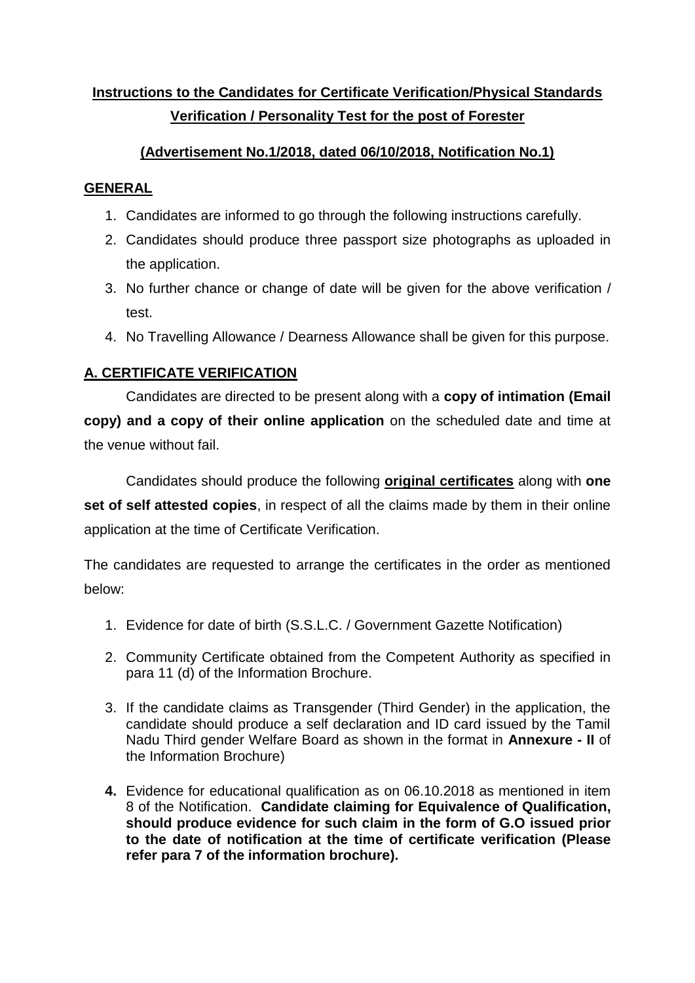# **Instructions to the Candidates for Certificate Verification/Physical Standards Verification / Personality Test for the post of Forester**

# **(Advertisement No.1/2018, dated 06/10/2018, Notification No.1)**

### **GENERAL**

- 1. Candidates are informed to go through the following instructions carefully.
- 2. Candidates should produce three passport size photographs as uploaded in the application.
- 3. No further chance or change of date will be given for the above verification / test.
- 4. No Travelling Allowance / Dearness Allowance shall be given for this purpose.

## **A. CERTIFICATE VERIFICATION**

Candidates are directed to be present along with a **copy of intimation (Email copy) and a copy of their online application** on the scheduled date and time at the venue without fail.

Candidates should produce the following **original certificates** along with **one set of self attested copies**, in respect of all the claims made by them in their online application at the time of Certificate Verification.

The candidates are requested to arrange the certificates in the order as mentioned below:

- 1. Evidence for date of birth (S.S.L.C. / Government Gazette Notification)
- 2. Community Certificate obtained from the Competent Authority as specified in para 11 (d) of the Information Brochure.
- 3. If the candidate claims as Transgender (Third Gender) in the application, the candidate should produce a self declaration and ID card issued by the Tamil Nadu Third gender Welfare Board as shown in the format in **Annexure - II** of the Information Brochure)
- **4.** Evidence for educational qualification as on 06.10.2018 as mentioned in item 8 of the Notification. **Candidate claiming for Equivalence of Qualification, should produce evidence for such claim in the form of G.O issued prior to the date of notification at the time of certificate verification (Please refer para 7 of the information brochure).**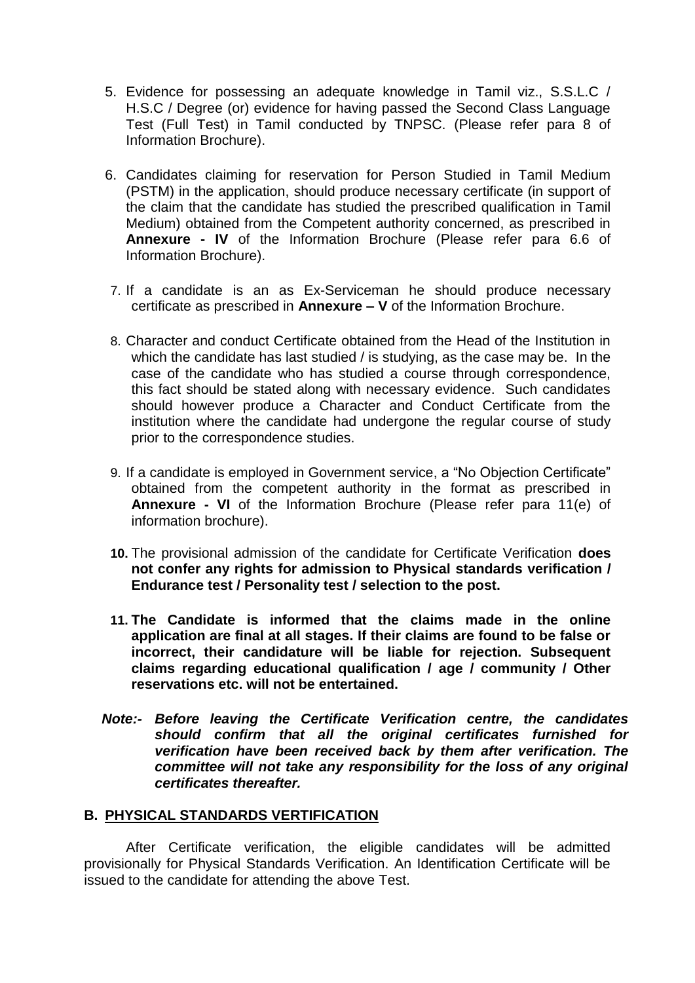- 5. Evidence for possessing an adequate knowledge in Tamil viz., S.S.L.C / H.S.C / Degree (or) evidence for having passed the Second Class Language Test (Full Test) in Tamil conducted by TNPSC. (Please refer para 8 of Information Brochure).
- 6. Candidates claiming for reservation for Person Studied in Tamil Medium (PSTM) in the application, should produce necessary certificate (in support of the claim that the candidate has studied the prescribed qualification in Tamil Medium) obtained from the Competent authority concerned, as prescribed in **Annexure - IV** of the Information Brochure (Please refer para 6.6 of Information Brochure).
- 7. If a candidate is an as Ex-Serviceman he should produce necessary certificate as prescribed in **Annexure – V** of the Information Brochure.
- 8. Character and conduct Certificate obtained from the Head of the Institution in which the candidate has last studied / is studying, as the case may be. In the case of the candidate who has studied a course through correspondence, this fact should be stated along with necessary evidence. Such candidates should however produce a Character and Conduct Certificate from the institution where the candidate had undergone the regular course of study prior to the correspondence studies.
- 9. If a candidate is employed in Government service, a "No Objection Certificate" obtained from the competent authority in the format as prescribed in **Annexure - VI** of the Information Brochure (Please refer para 11(e) of information brochure).
- **10.** The provisional admission of the candidate for Certificate Verification **does not confer any rights for admission to Physical standards verification / Endurance test / Personality test / selection to the post.**
- **11. The Candidate is informed that the claims made in the online application are final at all stages. If their claims are found to be false or incorrect, their candidature will be liable for rejection. Subsequent claims regarding educational qualification / age / community / Other reservations etc. will not be entertained.**
- *Note:- Before leaving the Certificate Verification centre, the candidates should confirm that all the original certificates furnished for verification have been received back by them after verification. The committee will not take any responsibility for the loss of any original certificates thereafter.*

#### **B. PHYSICAL STANDARDS VERTIFICATION**

 After Certificate verification, the eligible candidates will be admitted provisionally for Physical Standards Verification. An Identification Certificate will be issued to the candidate for attending the above Test.